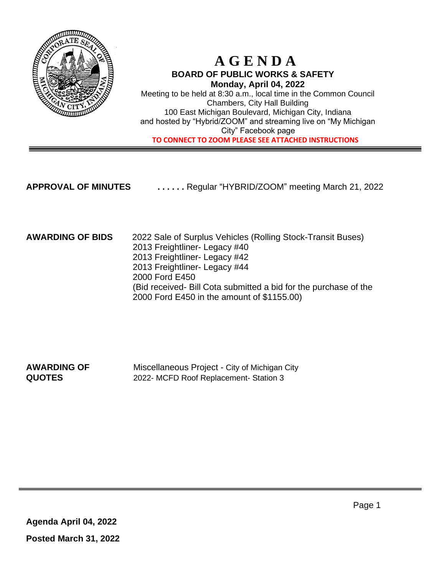

## **A G E N D A BOARD OF PUBLIC WORKS & SAFETY Monday, April 04, 2022**

Meeting to be held at 8:30 a.m., local time in the Common Council Chambers, City Hall Building 100 East Michigan Boulevard, Michigan City, Indiana and hosted by "Hybrid/ZOOM" and streaming live on "My Michigan City" Facebook page  **TO CONNECT TO ZOOM PLEASE SEE ATTACHED INSTRUCTIONS**

**APPROVAL OF MINUTES . . . . . .** Regular "HYBRID/ZOOM" meeting March 21, 2022

### **AWARDING OF BIDS** 2022 Sale of Surplus Vehicles (Rolling Stock-Transit Buses) 2013 Freightliner- Legacy #40 2013 Freightliner- Legacy #42 2013 Freightliner- Legacy #44 2000 Ford E450 (Bid received- Bill Cota submitted a bid for the purchase of the 2000 Ford E450 in the amount of \$1155.00)

**AWARDING OF** Miscellaneous Project - City of Michigan City **QUOTES** 2022- MCFD Roof Replacement- Station 3

**Agenda April 04, 2022 Posted March 31, 2022**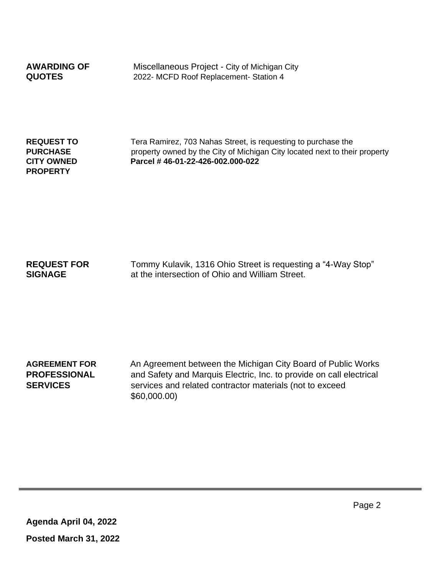**AWARDING OF** Miscellaneous Project - City of Michigan City **QUOTES** 2022- MCFD Roof Replacement- Station 4

**PROPERTY**

**REQUEST TO** Tera Ramirez, 703 Nahas Street, is requesting to purchase the **PURCHASE property owned by the City of Michigan City located next to their property CITY OWNED Parcel # 46-01-22-426-002.000-022**

**REQUEST FOR** Tommy Kulavik, 1316 Ohio Street is requesting a "4-Way Stop" **SIGNAGE** at the intersection of Ohio and William Street.

**AGREEMENT FOR** An Agreement between the Michigan City Board of Public Works **PROFESSIONAL** and Safety and Marquis Electric, Inc. to provide on call electrical **SERVICES** services and related contractor materials (not to exceed \$60,000.00)

**Agenda April 04, 2022 Posted March 31, 2022** Page 2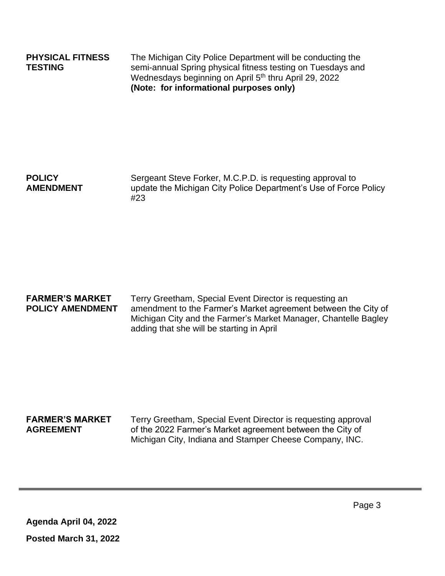**PHYSICAL FITNESS** The Michigan City Police Department will be conducting the **TESTING** semi-annual Spring physical fitness testing on Tuesdays and Wednesdays beginning on April 5<sup>th</sup> thru April 29, 2022 **(Note: for informational purposes only)**

## **POLICY** Sergeant Steve Forker, M.C.P.D. is requesting approval to **AMENDMENT** update the Michigan City Police Department's Use of Force Policy #23

**FARMER'S MARKET** Terry Greetham, Special Event Director is requesting an **POLICY AMENDMENT** amendment to the Farmer's Market agreement between the City of Michigan City and the Farmer's Market Manager, Chantelle Bagley adding that she will be starting in April

**FARMER'S MARKET** Terry Greetham, Special Event Director is requesting approval **AGREEMENT** of the 2022 Farmer's Market agreement between the City of Michigan City, Indiana and Stamper Cheese Company, INC.

**Agenda April 04, 2022 Posted March 31, 2022** Page 3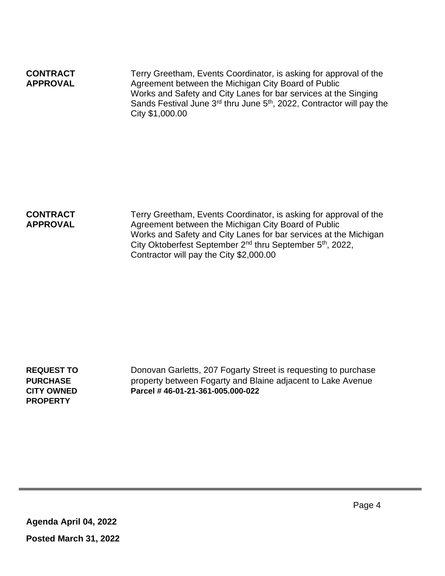| <b>CONTRACT</b><br><b>APPROVAL</b> | Terry Greetham, Events Coordinator, is asking for approval of the<br>Agreement between the Michigan City Board of Public                                                            |
|------------------------------------|-------------------------------------------------------------------------------------------------------------------------------------------------------------------------------------|
|                                    | Works and Safety and City Lanes for bar services at the Singing<br>Sands Festival June 3 <sup>rd</sup> thru June 5 <sup>th</sup> , 2022, Contractor will pay the<br>City \$1,000.00 |

**CONTRACT** Terry Greetham, Events Coordinator, is asking for approval of the **APPROVAL** Agreement between the Michigan City Board of Public Works and Safety and City Lanes for bar services at the Michigan City Oktoberfest September 2nd thru September 5th, 2022, Contractor will pay the City \$2,000.00

**PROPERTY** 

**REQUEST TO** Donovan Garletts, 207 Fogarty Street is requesting to purchase **PURCHASE** property between Fogarty and Blaine adjacent to Lake Avenue **CITY OWNED Parcel # 46-01-21-361-005.000-022**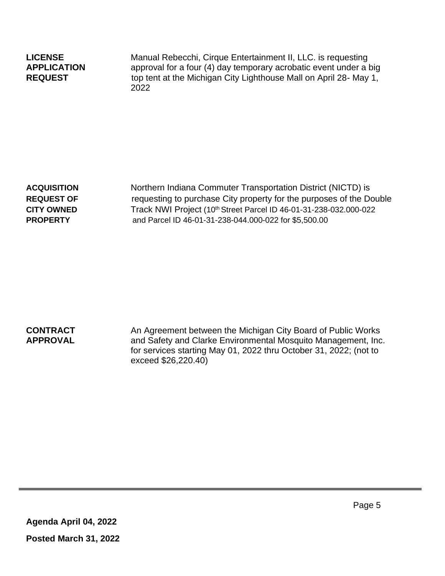**LICENSE** Manual Rebecchi, Cirque Entertainment II, LLC. is requesting **APPLICATION** approval for a four (4) day temporary acrobatic event under a big **REQUEST** top tent at the Michigan City Lighthouse Mall on April 28- May 1, 2022

**ACQUISITION** Northern Indiana Commuter Transportation District (NICTD) is **REQUEST OF** requesting to purchase City property for the purposes of the Double **CITY OWNED** Track NWI Project (10th Street Parcel ID 46-01-31-238-032.000-022 **PROPERTY** and Parcel ID 46-01-31-238-044.000-022 for \$5,500.00

**CONTRACT** An Agreement between the Michigan City Board of Public Works **APPROVAL** and Safety and Clarke Environmental Mosquito Management, Inc. for services starting May 01, 2022 thru October 31, 2022; (not to exceed \$26,220.40)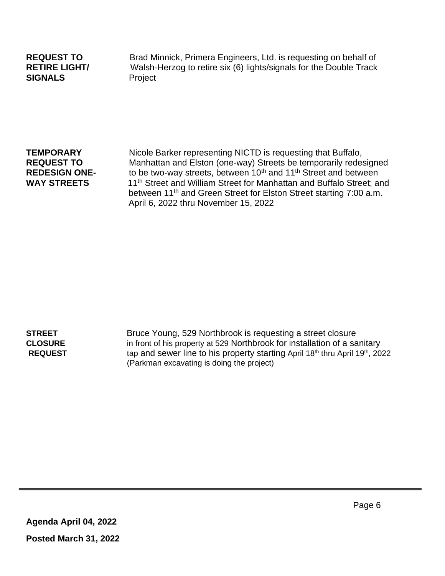# **SIGNALS** Project

**REQUEST TO** Brad Minnick, Primera Engineers, Ltd. is requesting on behalf of **RETIRE LIGHT/** Walsh-Herzog to retire six (6) lights/signals for the Double Track

**TEMPORARY** Nicole Barker representing NICTD is requesting that Buffalo, **REQUEST TO** Manhattan and Elston (one-way) Streets be temporarily redesigned<br>**REDESIGN ONE-** to be two-way streets, between 10<sup>th</sup> and 11<sup>th</sup> Street and between to be two-way streets, between 10<sup>th</sup> and 11<sup>th</sup> Street and between WAY STREETS 11<sup>th</sup> Street and William Street for Manhattan and Buffalo Street; and between 11<sup>th</sup> and Green Street for Elston Street starting 7:00 a.m. April 6, 2022 thru November 15, 2022

**STREET** Bruce Young, 529 Northbrook is requesting a street closure **CLOSURE** in front of his property at 529 Northbrook for installation of a sanitary **REQUEST** tap and sewer line to his property starting April 18<sup>th</sup> thru April 19<sup>th</sup>, 2022 (Parkman excavating is doing the project)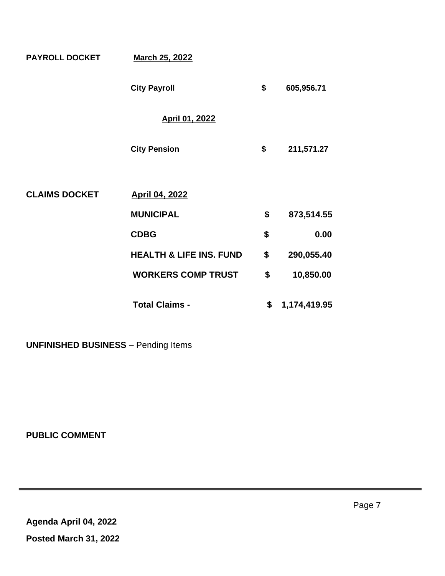| <b>PAYROLL DOCKET</b> | <b>March 25, 2022</b>              |                    |
|-----------------------|------------------------------------|--------------------|
|                       | <b>City Payroll</b>                | \$<br>605,956.71   |
|                       | April 01, 2022                     |                    |
|                       | <b>City Pension</b>                | \$<br>211,571.27   |
|                       |                                    |                    |
| <b>CLAIMS DOCKET</b>  | <b>April 04, 2022</b>              |                    |
|                       | <b>MUNICIPAL</b>                   | \$<br>873,514.55   |
|                       | <b>CDBG</b>                        | \$<br>0.00         |
|                       | <b>HEALTH &amp; LIFE INS. FUND</b> | \$<br>290,055.40   |
|                       | <b>WORKERS COMP TRUST</b>          | \$<br>10,850.00    |
|                       | <b>Total Claims -</b>              | \$<br>1,174,419.95 |

**UNFINISHED BUSINESS** – Pending Items

**PUBLIC COMMENT**

**Agenda April 04, 2022 Posted March 31, 2022**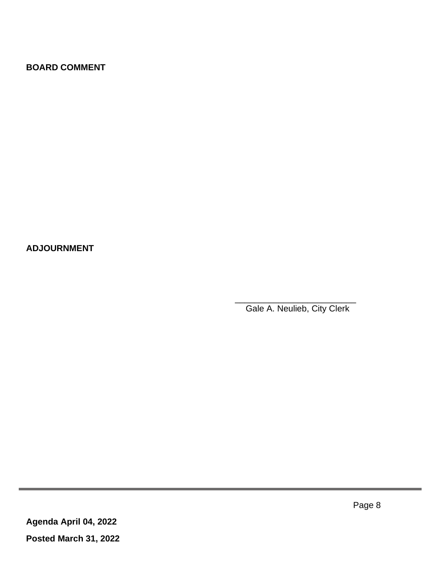## **BOARD COMMENT**

**ADJOURNMENT**

Gale A. Neulieb, City Clerk

 $\frac{1}{2}$  , and the set of the set of the set of the set of the set of the set of the set of the set of the set of the set of the set of the set of the set of the set of the set of the set of the set of the set of the set

Page 8